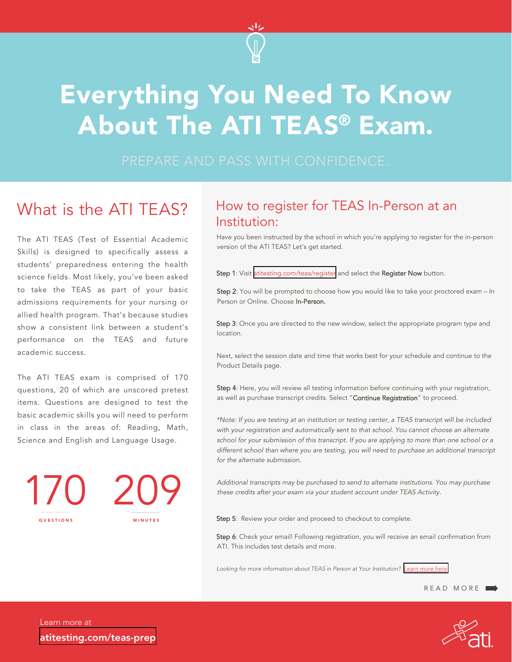

# Everything You Need To Know About The ATI TEAS® Exam.

PREPARE AND PASS WITH CONFIDENCE.

# What is the ATI TFAS?

The ATI TEAS (Test of Essential Academic Skills) is designed to specifically assess a students' preparedness entering the health science fields. Most likely, you've been asked to take the TEAS as part of your basic admissions requirements for your nursing or allied health program. That's because studies show a consistent link between a student's performance on the TEAS and future academic success.

The ATI TEAS exam is comprised of 170 questions, 20 of which are unscored pretest items. Questions are designed to test the basic academic skills you will need to perform in class in the areas of: Reading, Math, Science and English and Language Usage.

170 209 QUESTIONS MINUTES

### How to register for TEAS In-Person at an Institution:

Have you been instructed by the school in which you're applying to register for the in-person version of the ATI TEAS? Let's get started.

Step 1: Visit [atitesting.com/teas/register](https://www.atitesting.com/teas/register) and select the Register Now button.

Step 2: You will be prompted to choose how you would like to take your proctored exam – In Person or Online. Choose In-Person.

Step 3: Once you are directed to the new window, select the appropriate program type and location.

Next, select the session date and time that works best for your schedule and continue to the Product Details page.

Step 4: Here, you will review all testing information before continuing with your registration, as well as purchase transcript credits. Select "Continue Registration" to proceed.

\*Note: If you are testing at an institution or testing center, a TEAS transcript will be included with your registration and automatically sent to that school. You cannot choose an alternate school for your submission of this transcript. If you are applying to more than one school or a different school than where you are testing, you will need to purchase an additional transcript for the alternate submission.

Additional transcripts may be purchased to send to alternate institutions. You may purchase these credits after your exam via your student account under TEAS Activity.

Step 5: Review your order and proceed to checkout to complete.

Step 6: Check your email! Following registration, you will receive an email confirmation from ATI. This includes test details and more.

Looking for more information about TEAS in Person at Your Institution? *[Learn more here.](https://www.atitesting.com/teas/register/teas-on-campus-at-institution)*

```
READ MORE
```
Learn more at [atitesting.com/teas-prep](https://www.atitesting.com/teas-prep)